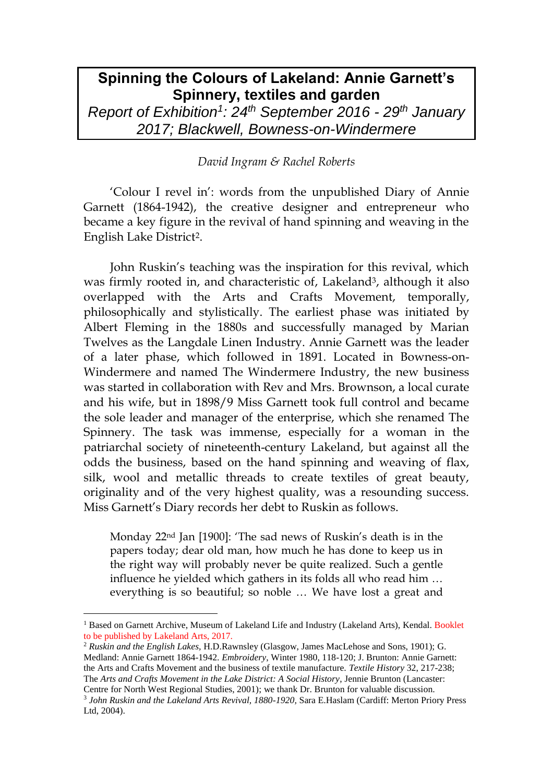## **Spinning the Colours of Lakeland: Annie Garnett's Spinnery, textiles and garden**

*Report of Exhibition<sup>1</sup> : 24th September 2016 - 29th January 2017; Blackwell, Bowness-on-Windermere*

## *David Ingram & Rachel Roberts*

'Colour I revel in': words from the unpublished Diary of Annie Garnett (1864-1942), the creative designer and entrepreneur who became a key figure in the revival of hand spinning and weaving in the English Lake District2.

John Ruskin's teaching was the inspiration for this revival, which was firmly rooted in, and characteristic of, Lakeland<sup>3</sup>, although it also overlapped with the Arts and Crafts Movement, temporally, philosophically and stylistically. The earliest phase was initiated by Albert Fleming in the 1880s and successfully managed by Marian Twelves as the Langdale Linen Industry. Annie Garnett was the leader of a later phase, which followed in 1891. Located in Bowness-on-Windermere and named The Windermere Industry, the new business was started in collaboration with Rev and Mrs. Brownson, a local curate and his wife, but in 1898/9 Miss Garnett took full control and became the sole leader and manager of the enterprise, which she renamed The Spinnery. The task was immense, especially for a woman in the patriarchal society of nineteenth-century Lakeland, but against all the odds the business, based on the hand spinning and weaving of flax, silk, wool and metallic threads to create textiles of great beauty, originality and of the very highest quality, was a resounding success. Miss Garnett's Diary records her debt to Ruskin as follows.

Monday 22nd Jan [1900]: 'The sad news of Ruskin's death is in the papers today; dear old man, how much he has done to keep us in the right way will probably never be quite realized. Such a gentle influence he yielded which gathers in its folds all who read him … everything is so beautiful; so noble … We have lost a great and

 $\overline{a}$ 

<sup>2</sup> *Ruskin and the English Lakes,* H.D.Rawnsley (Glasgow, James MacLehose and Sons, 1901); G. Medland: Annie Garnett 1864-1942. *Embroidery*, Winter 1980, 118-120; J. Brunton: Annie Garnett: the Arts and Crafts Movement and the business of textile manufacture. *Textile History* 32, 217-238; The *Arts and Crafts Movement in the Lake District: A Social History*, Jennie Brunton (Lancaster: Centre for North West Regional Studies, 2001); we thank Dr. Brunton for valuable discussion.

<sup>&</sup>lt;sup>1</sup> Based on Garnett Archive, Museum of Lakeland Life and Industry (Lakeland Arts), Kendal. Booklet to be published by Lakeland Arts, 2017.

<sup>3</sup> *John Ruskin and the Lakeland Arts Revival, 1880-1920,* Sara E.Haslam (Cardiff: Merton Priory Press Ltd, 2004).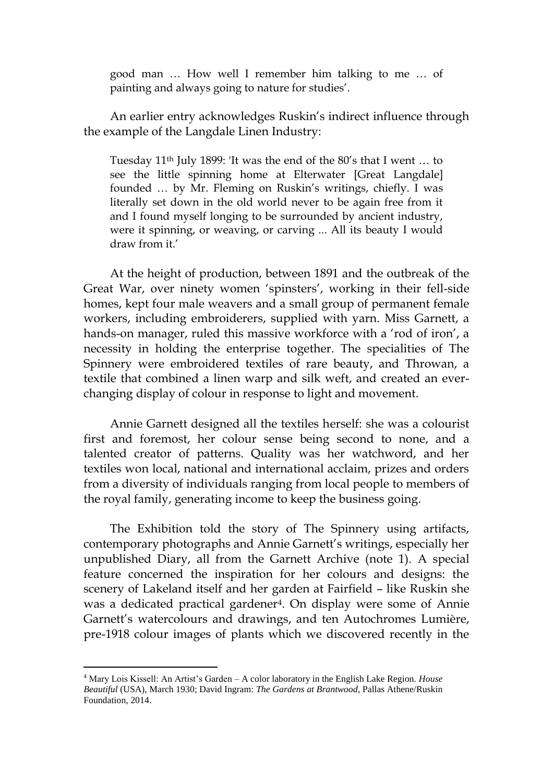good man … How well I remember him talking to me … of painting and always going to nature for studies'.

An earlier entry acknowledges Ruskin's indirect influence through the example of the Langdale Linen Industry:

Tuesday 11th July 1899: 'It was the end of the 80's that I went … to see the little spinning home at Elterwater [Great Langdale] founded … by Mr. Fleming on Ruskin's writings, chiefly. I was literally set down in the old world never to be again free from it and I found myself longing to be surrounded by ancient industry, were it spinning, or weaving, or carving ... All its beauty I would draw from it.'

At the height of production, between 1891 and the outbreak of the Great War, over ninety women 'spinsters', working in their fell-side homes, kept four male weavers and a small group of permanent female workers, including embroiderers, supplied with yarn. Miss Garnett, a hands-on manager, ruled this massive workforce with a 'rod of iron', a necessity in holding the enterprise together. The specialities of The Spinnery were embroidered textiles of rare beauty, and Throwan, a textile that combined a linen warp and silk weft, and created an everchanging display of colour in response to light and movement.

Annie Garnett designed all the textiles herself: she was a colourist first and foremost, her colour sense being second to none, and a talented creator of patterns. Quality was her watchword, and her textiles won local, national and international acclaim, prizes and orders from a diversity of individuals ranging from local people to members of the royal family, generating income to keep the business going.

The Exhibition told the story of The Spinnery using artifacts, contemporary photographs and Annie Garnett's writings, especially her unpublished Diary, all from the Garnett Archive (note 1). A special feature concerned the inspiration for her colours and designs: the scenery of Lakeland itself and her garden at Fairfield – like Ruskin she was a dedicated practical gardener<sup>4</sup>. On display were some of Annie Garnett's watercolours and drawings, and ten Autochromes Lumière, pre-1918 colour images of plants which we discovered recently in the

 $\ddot{\phantom{a}}$ 

<sup>4</sup> Mary Lois Kissell: An Artist's Garden – A color laboratory in the English Lake Region. *House Beautiful* (USA), March 1930; David Ingram: *The Gardens at Brantwood*, Pallas Athene/Ruskin Foundation, 2014.